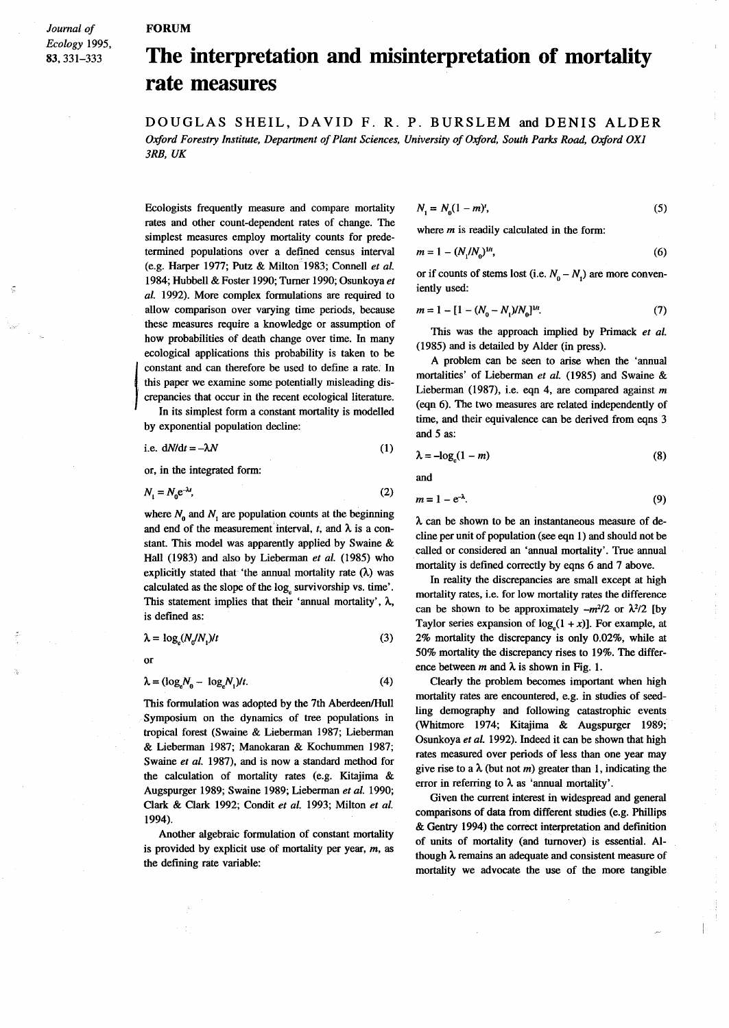## **FORUM**

*Journal of Ecology 1995,* 83,331-333

## **The interpretation and misinterpretation of mortality rate measures**

DOUGLAS SHEIL, DAVID F. R. P. BURSLEM and DENIS ALDER *Oxford Forestry Institute, Department ofPlant Sciences, University ofOxford, South Parks Road, Oxford OX] 3RB, UK*

Ecologists frequently measure and compare mortality rates and other count-dependent rates of change. The simplest measures employ mortality counts for predetermined populations over a defined census interval (e.g. Harper 1977; Putz & Milton 1983; Connell *et al.* 1984; Hubbell & Foster 1990; Turner 1990; Osunkoya *et al.* 1992). More complex formulations are required to allow comparison over varying time periods, because these measures require a knowledge or assumption of how probabilities of death change over time. In many ecological applications this probability is taken to be constant and can therefore be used to define a rate. In this paper we examine some potentially misleading discrepancies that occur in the recent ecological literature.

In its simplest form a constant mortality is modelled by exponential population decline:

i.e. 
$$
dN/dt = -\lambda N
$$
 (1)

or, in the integrated form:

$$
N_1 = N_0 e^{-\lambda t},\tag{2}
$$

where  $N_0$  and  $N_1$  are population counts at the beginning and end of the measurement interval,  $t$ , and  $\lambda$  is a constant. This model was apparently applied by Swaine & Hall (1983) and also by Lieberman *et al.* (1985) who explicitly stated that 'the annual mortality rate  $(\lambda)$  was calculated as the slope of the log<sub>e</sub> survivorship vs. time'. This statement implies that their 'annual mortality',  $\lambda$ , is defined as:

$$
\lambda = \log_e(N_d/N_1)/t \tag{3}
$$

or

j<br>Jereo Bartzaren 1a - Antonio Aleksandro eta Antonio Aleksandro eta Antonio Aleksandro eta Antonio Aleksandro<br>Jereo Aleksandro eta Antonio Aleksandro eta Antonio Aleksandro eta Antonio Aleksandro eta Antonio Aleksandro e

$$
\lambda = (\log_e N_0 - \log_e N_1)t. \tag{4}
$$

This formulation was adopted by the 7th Aberdeen/Hull Symposium on the dynamics of tree populations in tropical forest (Swaine & Lieberman 1987; Lieberman & Lieberman 1987; Manokaran & Kochummen 1987; Swaine *et al.* 1987), and is now a standard method for the calculation of mortality rates (e.g. Kitajima & Augspurger 1989; Swaine 1989; Lieberman *et al. 1990;* Clark & Clark 1992; Condit *et al.* 1993; Milton *et al.* 1994).

Another algebraic formulation of constant mortality is provided by explicit use of mortality per year, *m,* as the defining rate variable:

$$
N_1 = N_0 (1 - m)^t, \tag{5}
$$

where *m* is readily calculated in the form:

$$
m = 1 - (N_1/N_0)^{1/t},\tag{6}
$$

or if counts of stems lost (i.e.  $N_a - N_a$ ) are more conveniently used:

$$
m = 1 - [1 - (N_0 - N_1)/N_0]^{1/n}.
$$
 (7)

This was the approach implied by Primack *et al.* (1985) and is detailed by Alder (in press).

A problem can be seen to arise when the 'armual mortalities' of Lieberman *et al.* (1985) and Swaine & Lieberman (1987), i.e. eqn 4, are compared against *m* (eqn 6). The two measures are related independently of time, and their equivalence can be derived from eqns 3 and 5 as:

$$
\lambda = -\log_{e}(1 - m) \tag{8}
$$

and

$$
m=1-e^{-\lambda}.\tag{9}
$$

A. can be shown to be an instantaneous measure of decline per unit of population (see eqn 1) and should not be called or considered an 'armual mortality'. True annual mortality is defined correctly by eqns 6 and 7 above.

In reality the discrepancies are small except at high mortality rates, i.e. for low mortality rates the difference can be shown to be approximately  $-m^2/2$  or  $\lambda^2/2$  [by Taylor series expansion of  $log_a(1 + x)$ ]. For example, at 2% mortality the discrepancy is only 0.02%, while at 50% mortality the discrepancy rises to 19%. The difference between m and  $\lambda$  is shown in Fig. 1.

Clearly the problem becomes important when high mortality rates are encountered, e.g. in studies of seedling demography and following catastrophic events (Whitmore 1974; Kitajima & Augspurger 1989; Osunkoya *et al.* 1992). Indeed it can be shown that high rates measured over periods of less than one year may give rise to a  $\lambda$  (but not *m*) greater than 1, indicating the error in referring to  $\lambda$  as 'annual mortality'.

Given the current interest in widespread and general comparisons of data from different studies (e.g. Phillips & Gentry 1994) the correct interpretation and definition of units of mortality (and turnover) is essential. Although  $\lambda$  remains an adequate and consistent measure of mortality we advocate the use of the more tangible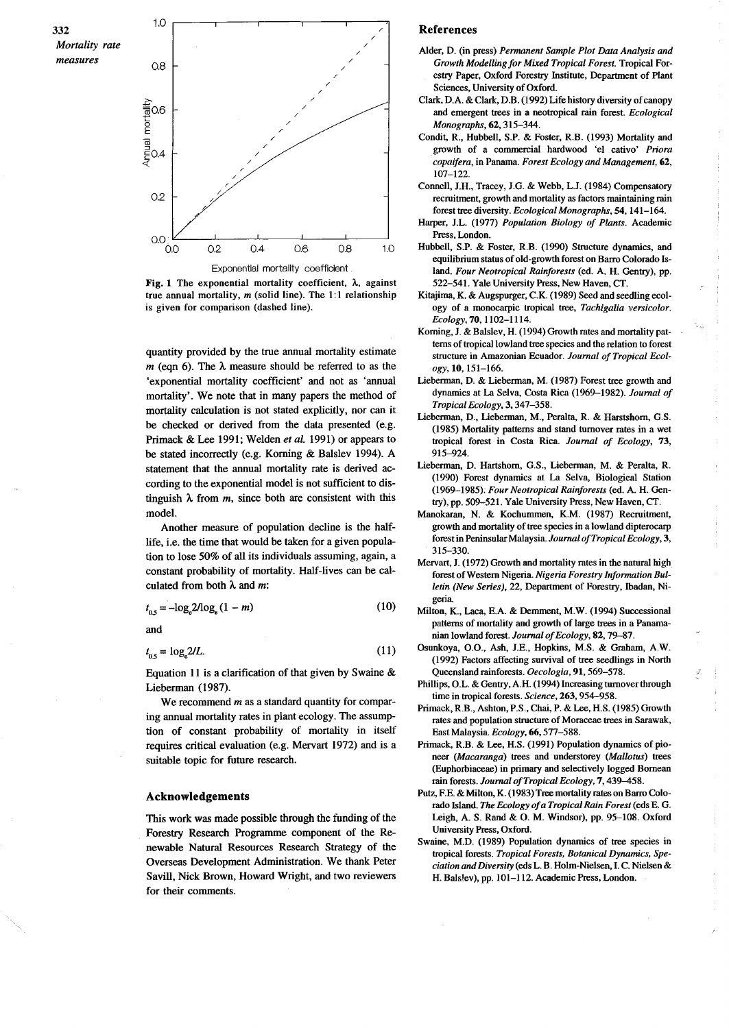

Fig. 1 The exponential mortality coefficient,  $\lambda$ , against true annual mortality, *m* (solid line). The 1:1 relationship is given for comparison (dashed line).

quantity provided by the true annual mortality estimate  $m$  (eqn 6). The  $\lambda$  measure should be referred to as the 'exponential mortality coefficient' and not as 'annual mortality'. We note that in many papers the method of mortality calculation is not stated explicitly, nor can it be checked or derived from the data presented (e.g. Primack & Lee 1991; Welden *et al.* 1991) or appears to be stated incorrectly (e.g. Korning & Balslev 1994). A statement that the annual mortality rate is derived according to the exponential model is not sufficient to distinguish  $\lambda$  from *m*, since both are consistent with this model.

Another measure of population decline is the halflife, i.e, the time that would be taken for a given population to lose 50% of all its individuals assuming, again, a constant probability of mortality. Half-lives can be calculated from both  $\lambda$  and m:

$$
t_{0.5} = -\log_e 2/\log_e (1 - m) \tag{10}
$$

and

$$
t_{0.5} = \log_2 2/L. \tag{11}
$$

Equation 11 is a clarification of that given by Swaine  $\&$ Lieberman (1987).

We recommend *m* as a standard quantity for comparing annual mortality rates in plant ecology. The assumption of constant probability of mortality in itself requires critical evaluation (e.g. Mervart 1972) and is a suitable topic for future research.

## Acknowledgements

This work was made possible through the funding of the Forestry Research Programme component of the Renewable Natural Resources Research Strategy of the Overseas Development Administration. We thank Peter Savill, Nick Brown, Howard Wright, and two reviewers for their comments.

## **References**

- Alder, D. (in press) *Permanent Sample Plot Data Analysis and Growth Modelling for Mixed Tropical Forest.* Tropical Forestry Paper, Oxford Forestry Institute, Department of Plant Sciences, University of Oxford.
- Clark, D.A. & Clark, D.B. (1992) Life history diversity of canopy and emergent trees in a neotropical rain forest. *Ecological Monographs,* 62, 315-344.
- Condit, R., Hubbell, S.P. & Foster, R.B. (1993) Mortality and growth of a commercial hardwood 'el cativo' *Priora copaifera,* in Panama. *Forest Ecology and Management,* 62, 107-122.
- Connell, J.H., Tracey, J.G. & Webb, L.J. (1984) Compensatory recruitment, growth and mortality as factors maintaining rain forest tree diversity. *Ecological Monographs,* 54,141-164.
- Harper, J.L. (1977) *Population Biology of Plants.* Academic Press, London.
- Hubbell, S.P. & Foster, R.B. (1990) Structure dynamics, and equilibrium status of old-growth forest on Barro Colorado Island. *Four Neotropical Rainforests* (ed. A. H. Gentry), pp. 522-541. Yale University Press, New Haven, CT.
- Kitajima, K. & Augspurger, C.K. (1989) Seed and seedling ecology of a monocarpic tropical tree, *Tachigalia versicolor. Ecology,* 70, 1102-1114.
- Korning, J. & Balslev, H. (1994) Growth rates and mortality patterns of tropical lowland tree species and the relation to forest structure in Amazonian Ecuador. Journal of Tropical Ecol*ogy,* 10, 151-166.
- Lieberman, D. & Lieberman, M. (1987) Forest tree growth and dynamics at La Selva, Costa Rica (1969-1982). *Journal of Tropical Ecology,* 3, 347-358.
- Lieberman, D., Lieberman, M., Peralta, R. & Harstshorn, G.S. (1985) Mortality patterns and stand turnover rates in a wet tropical forest in Costa Rica. *Journal of Ecology, 73,* 915-924.
- Lieberman, D. Hartshorn, G.S., Lieberman, M. & Peralta, R. (1990) Forest dynamics at La Selva, Biological Station *(1969-1985); Four Neotropical Rainforests* (ed. A. H. Gentry), pp, 509-521. Yale University Press, New Haven, CT.
- Manokaran, N. & Kochummen, K.M. (1987) Recruitment, growth and mortality of tree species in a lowland dipterocarp forest in PeninsularMalaysia. *Journal ofTropical Ecology, 3,* 315-330.
- Mervart, J. (1972) Growth and mortality rates in the natural high forest of Western Nigeria. *Nigeria Forestry Information Bulletin (New Series),* 22, Department of Forestry, lbadan, Nigeria
- Milton, K., Laca, E.A. & Demment, M.W. (1994) Successional patterns of mortality and growth of large trees in a Panamanian lowland forest. *Journal ofEcology,* 82, 79-87.
- Osunkoya, 0.0., Ash, J.E., Hopkins, M.S. & Graham, A.W. (1992) Factors affecting survival of tree seedlings in North Queensland rainforests. *Oecologia,* 91, 569-578.
- Phillips, O.L. & Gentry, A.H. (1994) Increasing turnover through time in tropical forests. *Science,* 263, 954-958.
- Primack, R.B., Ashton, P.S., Chai, P. & Lee, H.S. (1985) Growth rates and population structure of Moraceae trees in Sarawak, East Malaysia. *Ecology,* 66, 577-588.
- Primack, R.B. & Lee, H.S. (1991) Population dynamics of pioneer *(Macaranga)* trees and understorey *(Mal/otus)* trees (Euphorbiaceae) in primary and selectively logged Bornean rain forests. *Journal ofTropical Ecology,* 7, 439-458.
- Putz, F.E. & Milton, K. (1983) Tree mortality rates on Barro Colorado Island. *The Ecology ofa Tropical Rain Forest* (eds E. G. Leigh, A. S. Rand & O. M. Windsor), pp. 95-108. Oxford University Press, Oxford.
- Swaine, M.D. (1989) Population dynamics of tree species in tropical forests. *Tropical Forests, Botanical Dynamics, Speciation and Diversity* (edsL. B. Holm-Nielsen, I. C. Nielsen & H. Balslev), pp. 101-112. Academic Press, London.